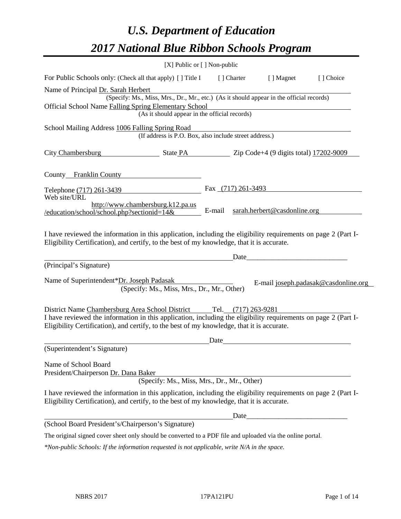# *U.S. Department of Education 2017 National Blue Ribbon Schools Program*

|                                                                                                                                                                                                                                                                 | [X] Public or [] Non-public                                                                                                               |        |                     |                              |                                      |
|-----------------------------------------------------------------------------------------------------------------------------------------------------------------------------------------------------------------------------------------------------------------|-------------------------------------------------------------------------------------------------------------------------------------------|--------|---------------------|------------------------------|--------------------------------------|
| For Public Schools only: (Check all that apply) [] Title I                                                                                                                                                                                                      |                                                                                                                                           |        | [] Charter          | [ ] Magnet                   | [] Choice                            |
| Name of Principal Dr. Sarah Herbert<br><b>Official School Name Falling Spring Elementary School</b>                                                                                                                                                             | (Specify: Ms., Miss, Mrs., Dr., Mr., etc.) (As it should appear in the official records)<br>(As it should appear in the official records) |        |                     |                              |                                      |
| School Mailing Address 1006 Falling Spring Road                                                                                                                                                                                                                 | (If address is P.O. Box, also include street address.)                                                                                    |        |                     |                              |                                      |
| City Chambersburg State PA Zip Code+4 (9 digits total) 17202-9009                                                                                                                                                                                               |                                                                                                                                           |        |                     |                              |                                      |
| County Franklin County                                                                                                                                                                                                                                          |                                                                                                                                           |        |                     |                              |                                      |
| Telephone (717) 261-3439<br>Web site/URL                                                                                                                                                                                                                        |                                                                                                                                           |        | Fax (717) 261-3493  |                              |                                      |
| /education/school/school.php?sectionid=14&                                                                                                                                                                                                                      | http://www.chambersburg.k12.pa.us                                                                                                         | E-mail |                     | sarah.herbert@casdonline.org |                                      |
| I have reviewed the information in this application, including the eligibility requirements on page 2 (Part I-<br>Eligibility Certification), and certify, to the best of my knowledge, that it is accurate.                                                    |                                                                                                                                           |        |                     |                              |                                      |
| (Principal's Signature)                                                                                                                                                                                                                                         |                                                                                                                                           |        | Date                |                              |                                      |
| Name of Superintendent*Dr. Joseph Padasak                                                                                                                                                                                                                       | (Specify: Ms., Miss, Mrs., Dr., Mr., Other)                                                                                               |        |                     |                              | E-mail joseph.padasak@casdonline.org |
| District Name Chambersburg Area School District<br>I have reviewed the information in this application, including the eligibility requirements on page 2 (Part I-<br>Eligibility Certification), and certify, to the best of my knowledge, that it is accurate. |                                                                                                                                           |        | Tel. (717) 263-9281 |                              |                                      |
| (Superintendent's Signature)                                                                                                                                                                                                                                    |                                                                                                                                           | Date   |                     |                              |                                      |
| Name of School Board<br>President/Chairperson Dr. Dana Baker                                                                                                                                                                                                    | (Specify: Ms., Miss, Mrs., Dr., Mr., Other)                                                                                               |        |                     |                              |                                      |
| I have reviewed the information in this application, including the eligibility requirements on page 2 (Part I-<br>Eligibility Certification), and certify, to the best of my knowledge, that it is accurate.                                                    |                                                                                                                                           |        |                     |                              |                                      |
|                                                                                                                                                                                                                                                                 |                                                                                                                                           |        |                     |                              |                                      |
| (School Board President's/Chairperson's Signature)                                                                                                                                                                                                              |                                                                                                                                           |        |                     |                              |                                      |
| The original signed cover sheet only should be converted to a PDF file and uploaded via the online portal.                                                                                                                                                      |                                                                                                                                           |        |                     |                              |                                      |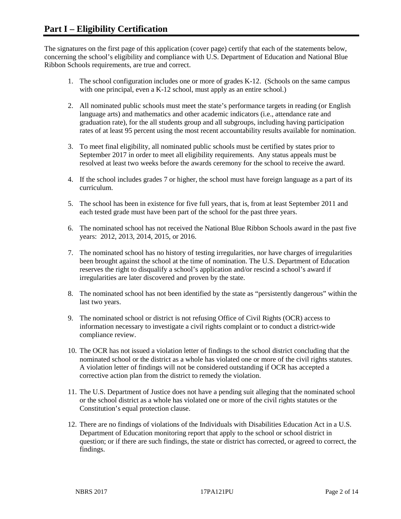The signatures on the first page of this application (cover page) certify that each of the statements below, concerning the school's eligibility and compliance with U.S. Department of Education and National Blue Ribbon Schools requirements, are true and correct.

- 1. The school configuration includes one or more of grades K-12. (Schools on the same campus with one principal, even a K-12 school, must apply as an entire school.)
- 2. All nominated public schools must meet the state's performance targets in reading (or English language arts) and mathematics and other academic indicators (i.e., attendance rate and graduation rate), for the all students group and all subgroups, including having participation rates of at least 95 percent using the most recent accountability results available for nomination.
- 3. To meet final eligibility, all nominated public schools must be certified by states prior to September 2017 in order to meet all eligibility requirements. Any status appeals must be resolved at least two weeks before the awards ceremony for the school to receive the award.
- 4. If the school includes grades 7 or higher, the school must have foreign language as a part of its curriculum.
- 5. The school has been in existence for five full years, that is, from at least September 2011 and each tested grade must have been part of the school for the past three years.
- 6. The nominated school has not received the National Blue Ribbon Schools award in the past five years: 2012, 2013, 2014, 2015, or 2016.
- 7. The nominated school has no history of testing irregularities, nor have charges of irregularities been brought against the school at the time of nomination. The U.S. Department of Education reserves the right to disqualify a school's application and/or rescind a school's award if irregularities are later discovered and proven by the state.
- 8. The nominated school has not been identified by the state as "persistently dangerous" within the last two years.
- 9. The nominated school or district is not refusing Office of Civil Rights (OCR) access to information necessary to investigate a civil rights complaint or to conduct a district-wide compliance review.
- 10. The OCR has not issued a violation letter of findings to the school district concluding that the nominated school or the district as a whole has violated one or more of the civil rights statutes. A violation letter of findings will not be considered outstanding if OCR has accepted a corrective action plan from the district to remedy the violation.
- 11. The U.S. Department of Justice does not have a pending suit alleging that the nominated school or the school district as a whole has violated one or more of the civil rights statutes or the Constitution's equal protection clause.
- 12. There are no findings of violations of the Individuals with Disabilities Education Act in a U.S. Department of Education monitoring report that apply to the school or school district in question; or if there are such findings, the state or district has corrected, or agreed to correct, the findings.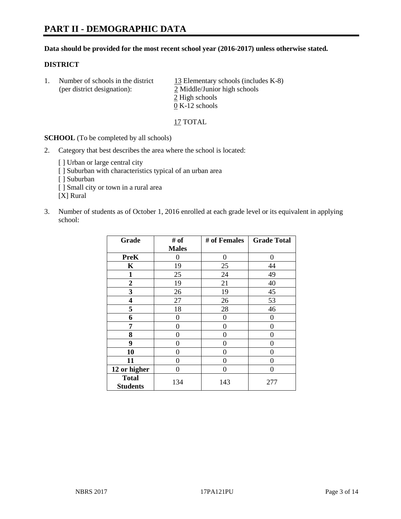#### **Data should be provided for the most recent school year (2016-2017) unless otherwise stated.**

## **DISTRICT**

1. Number of schools in the district  $13$  Elementary schools (includes K-8) (per district designation): 2 Middle/Junior high schools 2 High schools 0 K-12 schools

17 TOTAL

**SCHOOL** (To be completed by all schools)

- 2. Category that best describes the area where the school is located:
	- [] Urban or large central city [ ] Suburban with characteristics typical of an urban area [ ] Suburban [ ] Small city or town in a rural area [X] Rural
- 3. Number of students as of October 1, 2016 enrolled at each grade level or its equivalent in applying school:

| Grade                           | # of         | # of Females | <b>Grade Total</b> |
|---------------------------------|--------------|--------------|--------------------|
|                                 | <b>Males</b> |              |                    |
| <b>PreK</b>                     | 0            | $\theta$     | 0                  |
| $\mathbf K$                     | 19           | 25           | 44                 |
| $\mathbf{1}$                    | 25           | 24           | 49                 |
| $\overline{2}$                  | 19           | 21           | 40                 |
| 3                               | 26           | 19           | 45                 |
| 4                               | 27           | 26           | 53                 |
| 5                               | 18           | 28           | 46                 |
| 6                               | 0            | $\theta$     | 0                  |
| 7                               | 0            | 0            | 0                  |
| 8                               | 0            | 0            | 0                  |
| 9                               | 0            | 0            | 0                  |
| 10                              | 0            | 0            | 0                  |
| 11                              | 0            | 0            | $\mathbf{\Omega}$  |
| 12 or higher                    | 0            | 0            | 0                  |
| <b>Total</b><br><b>Students</b> | 134          | 143          | 277                |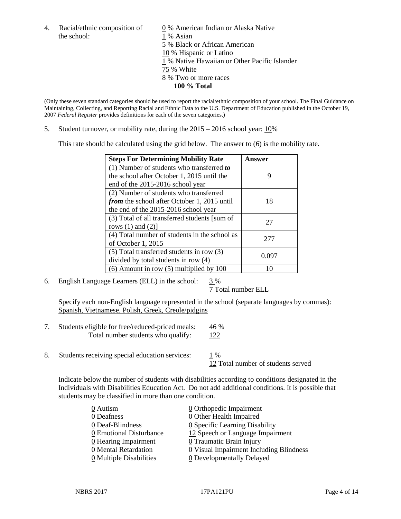the school: 1 % Asian

4. Racial/ethnic composition of  $\qquad 0 \%$  American Indian or Alaska Native 5 % Black or African American 10 % Hispanic or Latino 1 % Native Hawaiian or Other Pacific Islander 75 % White 8 % Two or more races **100 % Total**

(Only these seven standard categories should be used to report the racial/ethnic composition of your school. The Final Guidance on Maintaining, Collecting, and Reporting Racial and Ethnic Data to the U.S. Department of Education published in the October 19, 2007 *Federal Register* provides definitions for each of the seven categories.)

5. Student turnover, or mobility rate, during the 2015 – 2016 school year: 10%

This rate should be calculated using the grid below. The answer to (6) is the mobility rate.

| <b>Steps For Determining Mobility Rate</b>         | Answer |  |
|----------------------------------------------------|--------|--|
| (1) Number of students who transferred to          |        |  |
| the school after October 1, 2015 until the         | 9      |  |
| end of the 2015-2016 school year                   |        |  |
| (2) Number of students who transferred             |        |  |
| <i>from</i> the school after October 1, 2015 until | 18     |  |
| the end of the 2015-2016 school year               |        |  |
| (3) Total of all transferred students [sum of      | 27     |  |
| rows $(1)$ and $(2)$ ]                             |        |  |
| (4) Total number of students in the school as      | 277    |  |
| of October 1, 2015                                 |        |  |
| (5) Total transferred students in row (3)          | 0.097  |  |
| divided by total students in row (4)               |        |  |
| $(6)$ Amount in row $(5)$ multiplied by 100        | 10     |  |

6. English Language Learners (ELL) in the school:  $3\%$ 

7 Total number ELL

Specify each non-English language represented in the school (separate languages by commas): Spanish, Vietnamese, Polish, Greek, Creole/pidgins

- 7. Students eligible for free/reduced-priced meals: 46 % Total number students who qualify: 122
- 8. Students receiving special education services: 1 %

12 Total number of students served

Indicate below the number of students with disabilities according to conditions designated in the Individuals with Disabilities Education Act. Do not add additional conditions. It is possible that students may be classified in more than one condition.

| 0 Autism                              | $\underline{0}$ Orthopedic Impairment                 |
|---------------------------------------|-------------------------------------------------------|
| 0 Deafness                            | 0 Other Health Impaired                               |
| 0 Deaf-Blindness                      | 0 Specific Learning Disability                        |
| 0 Emotional Disturbance               | 12 Speech or Language Impairment                      |
| 0 Hearing Impairment                  | 0 Traumatic Brain Injury                              |
| 0 Mental Retardation                  | $\underline{0}$ Visual Impairment Including Blindness |
| $\underline{0}$ Multiple Disabilities | <b>0</b> Developmentally Delayed                      |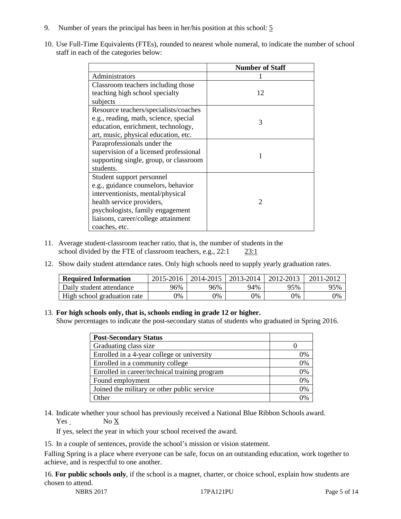- 9. Number of years the principal has been in her/his position at this school: 5
- 10. Use Full-Time Equivalents (FTEs), rounded to nearest whole numeral, to indicate the number of school staff in each of the categories below:

|                                        | <b>Number of Staff</b> |  |  |
|----------------------------------------|------------------------|--|--|
| Administrators                         |                        |  |  |
| Classroom teachers including those     |                        |  |  |
| teaching high school specialty         | 12                     |  |  |
| subjects                               |                        |  |  |
| Resource teachers/specialists/coaches  |                        |  |  |
| e.g., reading, math, science, special  | 3                      |  |  |
| education, enrichment, technology,     |                        |  |  |
| art, music, physical education, etc.   |                        |  |  |
| Paraprofessionals under the            |                        |  |  |
| supervision of a licensed professional |                        |  |  |
| supporting single, group, or classroom |                        |  |  |
| students.                              |                        |  |  |
| Student support personnel              |                        |  |  |
| e.g., guidance counselors, behavior    |                        |  |  |
| interventionists, mental/physical      |                        |  |  |
| health service providers,              | $\mathcal{D}$          |  |  |
| psychologists, family engagement       |                        |  |  |
| liaisons, career/college attainment    |                        |  |  |
| coaches, etc.                          |                        |  |  |

- 11. Average student-classroom teacher ratio, that is, the number of students in the school divided by the FTE of classroom teachers, e.g., 22:1 23:1
- 12. Show daily student attendance rates. Only high schools need to supply yearly graduation rates.

| <b>Required Information</b> | 2015-2016 | 2014-2015 | 2013-2014 | 2012-2013 |     |
|-----------------------------|-----------|-----------|-----------|-----------|-----|
| Daily student attendance    | 96%       | 96%       | 94%       | 95%       | 95% |
| High school graduation rate | 0%        | 0%        | 0%        | 9%        | 0%  |

#### 13. **For high schools only, that is, schools ending in grade 12 or higher.**

Show percentages to indicate the post-secondary status of students who graduated in Spring 2016.

| <b>Post-Secondary Status</b>                  |    |
|-----------------------------------------------|----|
| Graduating class size                         |    |
| Enrolled in a 4-year college or university    | 0% |
| Enrolled in a community college               | 0% |
| Enrolled in career/technical training program | 0% |
| Found employment                              | 0% |
| Joined the military or other public service   | 0% |
| )ther                                         |    |

14. Indicate whether your school has previously received a National Blue Ribbon Schools award. Yes No X

If yes, select the year in which your school received the award.

15. In a couple of sentences, provide the school's mission or vision statement.

Falling Spring is a place where everyone can be safe, focus on an outstanding education, work together to achieve, and is respectful to one another.

16. **For public schools only**, if the school is a magnet, charter, or choice school, explain how students are chosen to attend.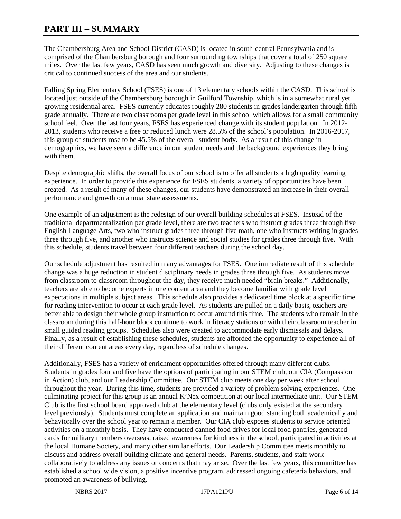# **PART III – SUMMARY**

The Chambersburg Area and School District (CASD) is located in south-central Pennsylvania and is comprised of the Chambersburg borough and four surrounding townships that cover a total of 250 square miles. Over the last few years, CASD has seen much growth and diversity. Adjusting to these changes is critical to continued success of the area and our students.

Falling Spring Elementary School (FSES) is one of 13 elementary schools within the CASD. This school is located just outside of the Chambersburg borough in Guilford Township, which is in a somewhat rural yet growing residential area. FSES currently educates roughly 280 students in grades kindergarten through fifth grade annually. There are two classrooms per grade level in this school which allows for a small community school feel. Over the last four years, FSES has experienced change with its student population. In 2012- 2013, students who receive a free or reduced lunch were 28.5% of the school's population. In 2016-2017, this group of students rose to be 45.5% of the overall student body. As a result of this change in demographics, we have seen a difference in our student needs and the background experiences they bring with them.

Despite demographic shifts, the overall focus of our school is to offer all students a high quality learning experience. In order to provide this experience for FSES students, a variety of opportunities have been created. As a result of many of these changes, our students have demonstrated an increase in their overall performance and growth on annual state assessments.

One example of an adjustment is the redesign of our overall building schedules at FSES. Instead of the traditional departmentalization per grade level, there are two teachers who instruct grades three through five English Language Arts, two who instruct grades three through five math, one who instructs writing in grades three through five, and another who instructs science and social studies for grades three through five. With this schedule, students travel between four different teachers during the school day.

Our schedule adjustment has resulted in many advantages for FSES. One immediate result of this schedule change was a huge reduction in student disciplinary needs in grades three through five. As students move from classroom to classroom throughout the day, they receive much needed "brain breaks." Additionally, teachers are able to become experts in one content area and they become familiar with grade level expectations in multiple subject areas. This schedule also provides a dedicated time block at a specific time for reading intervention to occur at each grade level. As students are pulled on a daily basis, teachers are better able to design their whole group instruction to occur around this time. The students who remain in the classroom during this half-hour block continue to work in literacy stations or with their classroom teacher in small guided reading groups. Schedules also were created to accommodate early dismissals and delays. Finally, as a result of establishing these schedules, students are afforded the opportunity to experience all of their different content areas every day, regardless of schedule changes.

Additionally, FSES has a variety of enrichment opportunities offered through many different clubs. Students in grades four and five have the options of participating in our STEM club, our CIA (Compassion in Action) club, and our Leadership Committee. Our STEM club meets one day per week after school throughout the year. During this time, students are provided a variety of problem solving experiences. One culminating project for this group is an annual K'Nex competition at our local intermediate unit. Our STEM Club is the first school board approved club at the elementary level (clubs only existed at the secondary level previously). Students must complete an application and maintain good standing both academically and behaviorally over the school year to remain a member. Our CIA club exposes students to service oriented activities on a monthly basis. They have conducted canned food drives for local food pantries, generated cards for military members overseas, raised awareness for kindness in the school, participated in activities at the local Humane Society, and many other similar efforts. Our Leadership Committee meets monthly to discuss and address overall building climate and general needs. Parents, students, and staff work collaboratively to address any issues or concerns that may arise. Over the last few years, this committee has established a school wide vision, a positive incentive program, addressed ongoing cafeteria behaviors, and promoted an awareness of bullying.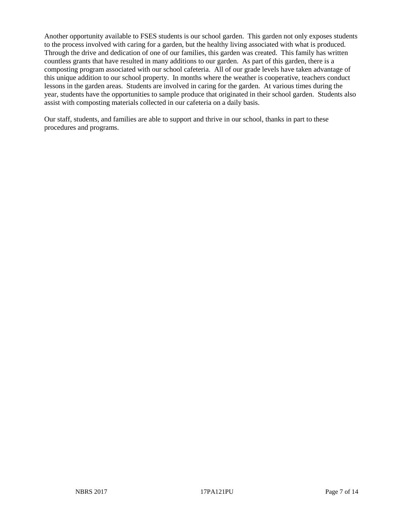Another opportunity available to FSES students is our school garden. This garden not only exposes students to the process involved with caring for a garden, but the healthy living associated with what is produced. Through the drive and dedication of one of our families, this garden was created. This family has written countless grants that have resulted in many additions to our garden. As part of this garden, there is a composting program associated with our school cafeteria. All of our grade levels have taken advantage of this unique addition to our school property. In months where the weather is cooperative, teachers conduct lessons in the garden areas. Students are involved in caring for the garden. At various times during the year, students have the opportunities to sample produce that originated in their school garden. Students also assist with composting materials collected in our cafeteria on a daily basis.

Our staff, students, and families are able to support and thrive in our school, thanks in part to these procedures and programs.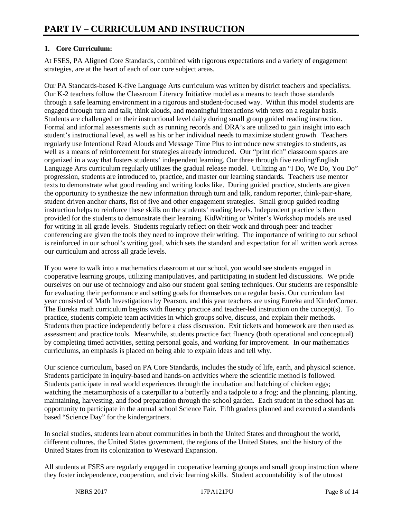# **1. Core Curriculum:**

At FSES, PA Aligned Core Standards, combined with rigorous expectations and a variety of engagement strategies, are at the heart of each of our core subject areas.

Our PA Standards-based K-five Language Arts curriculum was written by district teachers and specialists. Our K-2 teachers follow the Classroom Literacy Initiative model as a means to teach those standards through a safe learning environment in a rigorous and student-focused way. Within this model students are engaged through turn and talk, think alouds, and meaningful interactions with texts on a regular basis. Students are challenged on their instructional level daily during small group guided reading instruction. Formal and informal assessments such as running records and DRA's are utilized to gain insight into each student's instructional level, as well as his or her individual needs to maximize student growth. Teachers regularly use Intentional Read Alouds and Message Time Plus to introduce new strategies to students, as well as a means of reinforcement for strategies already introduced. Our "print rich" classroom spaces are organized in a way that fosters students' independent learning. Our three through five reading/English Language Arts curriculum regularly utilizes the gradual release model. Utilizing an "I Do, We Do, You Do" progression, students are introduced to, practice, and master our learning standards. Teachers use mentor texts to demonstrate what good reading and writing looks like. During guided practice, students are given the opportunity to synthesize the new information through turn and talk, random reporter, think-pair-share, student driven anchor charts, fist of five and other engagement strategies. Small group guided reading instruction helps to reinforce these skills on the students' reading levels. Independent practice is then provided for the students to demonstrate their learning. KidWriting or Writer's Workshop models are used for writing in all grade levels. Students regularly reflect on their work and through peer and teacher conferencing are given the tools they need to improve their writing. The importance of writing to our school is reinforced in our school's writing goal, which sets the standard and expectation for all written work across our curriculum and across all grade levels.

If you were to walk into a mathematics classroom at our school, you would see students engaged in cooperative learning groups, utilizing manipulatives, and participating in student led discussions. We pride ourselves on our use of technology and also our student goal setting techniques. Our students are responsible for evaluating their performance and setting goals for themselves on a regular basis. Our curriculum last year consisted of Math Investigations by Pearson, and this year teachers are using Eureka and KinderCorner. The Eureka math curriculum begins with fluency practice and teacher-led instruction on the concept(s). To practice, students complete team activities in which groups solve, discuss, and explain their methods. Students then practice independently before a class discussion. Exit tickets and homework are then used as assessment and practice tools. Meanwhile, students practice fact fluency (both operational and conceptual) by completing timed activities, setting personal goals, and working for improvement. In our mathematics curriculums, an emphasis is placed on being able to explain ideas and tell why.

Our science curriculum, based on PA Core Standards, includes the study of life, earth, and physical science. Students participate in inquiry-based and hands-on activities where the scientific method is followed. Students participate in real world experiences through the incubation and hatching of chicken eggs; watching the metamorphosis of a caterpillar to a butterfly and a tadpole to a frog; and the planning, planting, maintaining, harvesting, and food preparation through the school garden. Each student in the school has an opportunity to participate in the annual school Science Fair. Fifth graders planned and executed a standards based "Science Day" for the kindergartners.

In social studies, students learn about communities in both the United States and throughout the world, different cultures, the United States government, the regions of the United States, and the history of the United States from its colonization to Westward Expansion.

All students at FSES are regularly engaged in cooperative learning groups and small group instruction where they foster independence, cooperation, and civic learning skills. Student accountability is of the utmost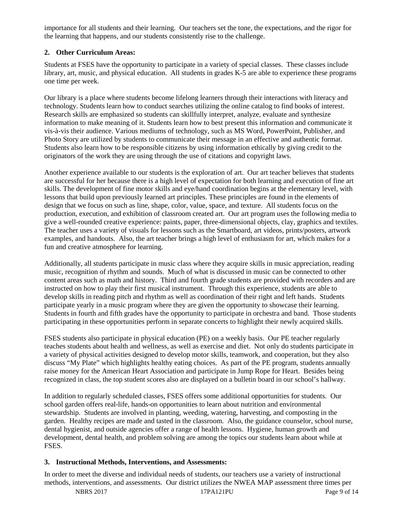importance for all students and their learning. Our teachers set the tone, the expectations, and the rigor for the learning that happens, and our students consistently rise to the challenge.

# **2. Other Curriculum Areas:**

Students at FSES have the opportunity to participate in a variety of special classes. These classes include library, art, music, and physical education. All students in grades K-5 are able to experience these programs one time per week.

Our library is a place where students become lifelong learners through their interactions with literacy and technology. Students learn how to conduct searches utilizing the online catalog to find books of interest. Research skills are emphasized so students can skillfully interpret, analyze, evaluate and synthesize information to make meaning of it. Students learn how to best present this information and communicate it vis-à-vis their audience. Various mediums of technology, such as MS Word, PowerPoint, Publisher, and Photo Story are utilized by students to communicate their message in an effective and authentic format. Students also learn how to be responsible citizens by using information ethically by giving credit to the originators of the work they are using through the use of citations and copyright laws.

Another experience available to our students is the exploration of art. Our art teacher believes that students are successful for her because there is a high level of expectation for both learning and execution of fine art skills. The development of fine motor skills and eye/hand coordination begins at the elementary level, with lessons that build upon previously learned art principles. These principles are found in the elements of design that we focus on such as line, shape, color, value, space, and texture. All students focus on the production, execution, and exhibition of classroom created art. Our art program uses the following media to give a well-rounded creative experience: paints, paper, three-dimensional objects, clay, graphics and textiles. The teacher uses a variety of visuals for lessons such as the Smartboard, art videos, prints/posters, artwork examples, and handouts. Also, the art teacher brings a high level of enthusiasm for art, which makes for a fun and creative atmosphere for learning.

Additionally, all students participate in music class where they acquire skills in music appreciation, reading music, recognition of rhythm and sounds. Much of what is discussed in music can be connected to other content areas such as math and history. Third and fourth grade students are provided with recorders and are instructed on how to play their first musical instrument. Through this experience, students are able to develop skills in reading pitch and rhythm as well as coordination of their right and left hands. Students participate yearly in a music program where they are given the opportunity to showcase their learning. Students in fourth and fifth grades have the opportunity to participate in orchestra and band. Those students participating in these opportunities perform in separate concerts to highlight their newly acquired skills.

FSES students also participate in physical education (PE) on a weekly basis. Our PE teacher regularly teaches students about health and wellness, as well as exercise and diet. Not only do students participate in a variety of physical activities designed to develop motor skills, teamwork, and cooperation, but they also discuss "My Plate" which highlights healthy eating choices. As part of the PE program, students annually raise money for the American Heart Association and participate in Jump Rope for Heart. Besides being recognized in class, the top student scores also are displayed on a bulletin board in our school's hallway.

In addition to regularly scheduled classes, FSES offers some additional opportunities for students. Our school garden offers real-life, hands-on opportunities to learn about nutrition and environmental stewardship. Students are involved in planting, weeding, watering, harvesting, and composting in the garden. Healthy recipes are made and tasted in the classroom. Also, the guidance counselor, school nurse, dental hygienist, and outside agencies offer a range of health lessons. Hygiene, human growth and development, dental health, and problem solving are among the topics our students learn about while at FSES.

#### **3. Instructional Methods, Interventions, and Assessments:**

In order to meet the diverse and individual needs of students, our teachers use a variety of instructional methods, interventions, and assessments. Our district utilizes the NWEA MAP assessment three times per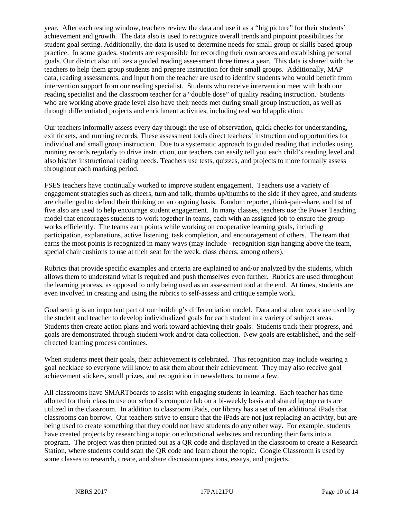year. After each testing window, teachers review the data and use it as a "big picture" for their students' achievement and growth. The data also is used to recognize overall trends and pinpoint possibilities for student goal setting. Additionally, the data is used to determine needs for small group or skills based group practice. In some grades, students are responsible for recording their own scores and establishing personal goals. Our district also utilizes a guided reading assessment three times a year. This data is shared with the teachers to help them group students and prepare instruction for their small groups. Additionally, MAP data, reading assessments, and input from the teacher are used to identify students who would benefit from intervention support from our reading specialist. Students who receive intervention meet with both our reading specialist and the classroom teacher for a "double dose" of quality reading instruction. Students who are working above grade level also have their needs met during small group instruction, as well as through differentiated projects and enrichment activities, including real world application.

Our teachers informally assess every day through the use of observation, quick checks for understanding, exit tickets, and running records. These assessment tools direct teachers' instruction and opportunities for individual and small group instruction. Due to a systematic approach to guided reading that includes using running records regularly to drive instruction, our teachers can easily tell you each child's reading level and also his/her instructional reading needs. Teachers use tests, quizzes, and projects to more formally assess throughout each marking period.

FSES teachers have continually worked to improve student engagement. Teachers use a variety of engagement strategies such as cheers, turn and talk, thumbs up/thumbs to the side if they agree, and students are challenged to defend their thinking on an ongoing basis. Random reporter, think-pair-share, and fist of five also are used to help encourage student engagement. In many classes, teachers use the Power Teaching model that encourages students to work together in teams, each with an assigned job to ensure the group works efficiently. The teams earn points while working on cooperative learning goals, including participation, explanations, active listening, task completion, and encouragement of others. The team that earns the most points is recognized in many ways (may include - recognition sign hanging above the team, special chair cushions to use at their seat for the week, class cheers, among others).

Rubrics that provide specific examples and criteria are explained to and/or analyzed by the students, which allows them to understand what is required and push themselves even further. Rubrics are used throughout the learning process, as opposed to only being used as an assessment tool at the end. At times, students are even involved in creating and using the rubrics to self-assess and critique sample work.

Goal setting is an important part of our building's differentiation model. Data and student work are used by the student and teacher to develop individualized goals for each student in a variety of subject areas. Students then create action plans and work toward achieving their goals. Students track their progress, and goals are demonstrated through student work and/or data collection. New goals are established, and the selfdirected learning process continues.

When students meet their goals, their achievement is celebrated. This recognition may include wearing a goal necklace so everyone will know to ask them about their achievement. They may also receive goal achievement stickers, small prizes, and recognition in newsletters, to name a few.

All classrooms have SMARTboards to assist with engaging students in learning. Each teacher has time allotted for their class to use our school's computer lab on a bi-weekly basis and shared laptop carts are utilized in the classroom. In addition to classroom iPads, our library has a set of ten additional iPads that classrooms can borrow. Our teachers strive to ensure that the iPads are not just replacing an activity, but are being used to create something that they could not have students do any other way. For example, students have created projects by researching a topic on educational websites and recording their facts into a program. The project was then printed out as a QR code and displayed in the classroom to create a Research Station, where students could scan the QR code and learn about the topic. Google Classroom is used by some classes to research, create, and share discussion questions, essays, and projects.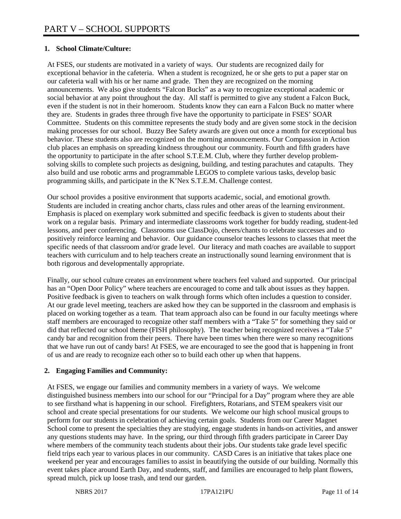# **1. School Climate/Culture:**

At FSES, our students are motivated in a variety of ways. Our students are recognized daily for exceptional behavior in the cafeteria. When a student is recognized, he or she gets to put a paper star on our cafeteria wall with his or her name and grade. Then they are recognized on the morning announcements. We also give students "Falcon Bucks" as a way to recognize exceptional academic or social behavior at any point throughout the day. All staff is permitted to give any student a Falcon Buck, even if the student is not in their homeroom. Students know they can earn a Falcon Buck no matter where they are. Students in grades three through five have the opportunity to participate in FSES' SOAR Committee. Students on this committee represents the study body and are given some stock in the decision making processes for our school. Buzzy Bee Safety awards are given out once a month for exceptional bus behavior. These students also are recognized on the morning announcements. Our Compassion in Action club places an emphasis on spreading kindness throughout our community. Fourth and fifth graders have the opportunity to participate in the after school S.T.E.M. Club, where they further develop problemsolving skills to complete such projects as designing, building, and testing parachutes and catapults. They also build and use robotic arms and programmable LEGOS to complete various tasks, develop basic programming skills, and participate in the K'Nex S.T.E.M. Challenge contest.

Our school provides a positive environment that supports academic, social, and emotional growth. Students are included in creating anchor charts, class rules and other areas of the learning environment. Emphasis is placed on exemplary work submitted and specific feedback is given to students about their work on a regular basis. Primary and intermediate classrooms work together for buddy reading, student-led lessons, and peer conferencing. Classrooms use ClassDojo, cheers/chants to celebrate successes and to positively reinforce learning and behavior. Our guidance counselor teaches lessons to classes that meet the specific needs of that classroom and/or grade level. Our literacy and math coaches are available to support teachers with curriculum and to help teachers create an instructionally sound learning environment that is both rigorous and developmentally appropriate.

Finally, our school culture creates an environment where teachers feel valued and supported. Our principal has an "Open Door Policy" where teachers are encouraged to come and talk about issues as they happen. Positive feedback is given to teachers on walk through forms which often includes a question to consider. At our grade level meeting, teachers are asked how they can be supported in the classroom and emphasis is placed on working together as a team. That team approach also can be found in our faculty meetings where staff members are encouraged to recognize other staff members with a "Take 5" for something they said or did that reflected our school theme (FISH philosophy). The teacher being recognized receives a "Take 5" candy bar and recognition from their peers. There have been times when there were so many recognitions that we have run out of candy bars! At FSES, we are encouraged to see the good that is happening in front of us and are ready to recognize each other so to build each other up when that happens.

#### **2. Engaging Families and Community:**

At FSES, we engage our families and community members in a variety of ways. We welcome distinguished business members into our school for our "Principal for a Day" program where they are able to see firsthand what is happening in our school. Firefighters, Rotarians, and STEM speakers visit our school and create special presentations for our students. We welcome our high school musical groups to perform for our students in celebration of achieving certain goals. Students from our Career Magnet School come to present the specialties they are studying, engage students in hands-on activities, and answer any questions students may have. In the spring, our third through fifth graders participate in Career Day where members of the community teach students about their jobs. Our students take grade level specific field trips each year to various places in our community. CASD Cares is an initiative that takes place one weekend per year and encourages families to assist in beautifying the outside of our building. Normally this event takes place around Earth Day, and students, staff, and families are encouraged to help plant flowers, spread mulch, pick up loose trash, and tend our garden.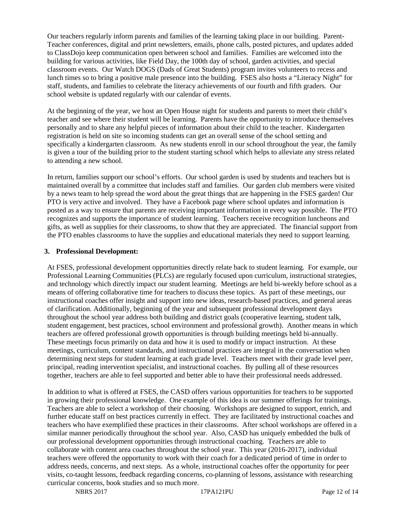Our teachers regularly inform parents and families of the learning taking place in our building. Parent-Teacher conferences, digital and print newsletters, emails, phone calls, posted pictures, and updates added to ClassDojo keep communication open between school and families. Families are welcomed into the building for various activities, like Field Day, the 100th day of school, garden activities, and special classroom events. Our Watch DOGS (Dads of Great Students) program invites volunteers to recess and lunch times so to bring a positive male presence into the building. FSES also hosts a "Literacy Night" for staff, students, and families to celebrate the literacy achievements of our fourth and fifth graders. Our school website is updated regularly with our calendar of events.

At the beginning of the year, we host an Open House night for students and parents to meet their child's teacher and see where their student will be learning. Parents have the opportunity to introduce themselves personally and to share any helpful pieces of information about their child to the teacher. Kindergarten registration is held on site so incoming students can get an overall sense of the school setting and specifically a kindergarten classroom. As new students enroll in our school throughout the year, the family is given a tour of the building prior to the student starting school which helps to alleviate any stress related to attending a new school.

In return, families support our school's efforts. Our school garden is used by students and teachers but is maintained overall by a committee that includes staff and families. Our garden club members were visited by a news team to help spread the word about the great things that are happening in the FSES garden! Our PTO is very active and involved. They have a Facebook page where school updates and information is posted as a way to ensure that parents are receiving important information in every way possible. The PTO recognizes and supports the importance of student learning. Teachers receive recognition luncheons and gifts, as well as supplies for their classrooms, to show that they are appreciated. The financial support from the PTO enables classrooms to have the supplies and educational materials they need to support learning.

## **3. Professional Development:**

At FSES, professional development opportunities directly relate back to student learning. For example, our Professional Learning Communities (PLCs) are regularly focused upon curriculum, instructional strategies, and technology which directly impact our student learning. Meetings are held bi-weekly before school as a means of offering collaborative time for teachers to discuss these topics. As part of these meetings, our instructional coaches offer insight and support into new ideas, research-based practices, and general areas of clarification. Additionally, beginning of the year and subsequent professional development days throughout the school year address both building and district goals (cooperative learning, student talk, student engagement, best practices, school environment and professional growth). Another means in which teachers are offered professional growth opportunities is through building meetings held bi-annually. These meetings focus primarily on data and how it is used to modify or impact instruction. At these meetings, curriculum, content standards, and instructional practices are integral in the conversation when determining next steps for student learning at each grade level. Teachers meet with their grade level peer, principal, reading intervention specialist, and instructional coaches. By pulling all of these resources together, teachers are able to feel supported and better able to have their professional needs addressed.

In addition to what is offered at FSES, the CASD offers various opportunities for teachers to be supported in growing their professional knowledge. One example of this idea is our summer offerings for trainings. Teachers are able to select a workshop of their choosing. Workshops are designed to support, enrich, and further educate staff on best practices currently in effect. They are facilitated by instructional coaches and teachers who have exemplified these practices in their classrooms. After school workshops are offered in a similar manner periodically throughout the school year. Also, CASD has uniquely embedded the bulk of our professional development opportunities through instructional coaching. Teachers are able to collaborate with content area coaches throughout the school year. This year (2016-2017), individual teachers were offered the opportunity to work with their coach for a dedicated period of time in order to address needs, concerns, and next steps. As a whole, instructional coaches offer the opportunity for peer visits, co-taught lessons, feedback regarding concerns, co-planning of lessons, assistance with researching curricular concerns, book studies and so much more.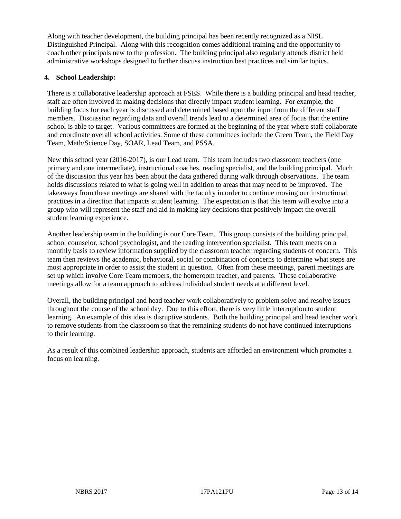Along with teacher development, the building principal has been recently recognized as a NISL Distinguished Principal. Along with this recognition comes additional training and the opportunity to coach other principals new to the profession. The building principal also regularly attends district held administrative workshops designed to further discuss instruction best practices and similar topics.

# **4. School Leadership:**

There is a collaborative leadership approach at FSES. While there is a building principal and head teacher, staff are often involved in making decisions that directly impact student learning. For example, the building focus for each year is discussed and determined based upon the input from the different staff members. Discussion regarding data and overall trends lead to a determined area of focus that the entire school is able to target. Various committees are formed at the beginning of the year where staff collaborate and coordinate overall school activities. Some of these committees include the Green Team, the Field Day Team, Math/Science Day, SOAR, Lead Team, and PSSA.

New this school year (2016-2017), is our Lead team. This team includes two classroom teachers (one primary and one intermediate), instructional coaches, reading specialist, and the building principal. Much of the discussion this year has been about the data gathered during walk through observations. The team holds discussions related to what is going well in addition to areas that may need to be improved. The takeaways from these meetings are shared with the faculty in order to continue moving our instructional practices in a direction that impacts student learning. The expectation is that this team will evolve into a group who will represent the staff and aid in making key decisions that positively impact the overall student learning experience.

Another leadership team in the building is our Core Team. This group consists of the building principal, school counselor, school psychologist, and the reading intervention specialist. This team meets on a monthly basis to review information supplied by the classroom teacher regarding students of concern. This team then reviews the academic, behavioral, social or combination of concerns to determine what steps are most appropriate in order to assist the student in question. Often from these meetings, parent meetings are set up which involve Core Team members, the homeroom teacher, and parents. These collaborative meetings allow for a team approach to address individual student needs at a different level.

Overall, the building principal and head teacher work collaboratively to problem solve and resolve issues throughout the course of the school day. Due to this effort, there is very little interruption to student learning. An example of this idea is disruptive students. Both the building principal and head teacher work to remove students from the classroom so that the remaining students do not have continued interruptions to their learning.

As a result of this combined leadership approach, students are afforded an environment which promotes a focus on learning.